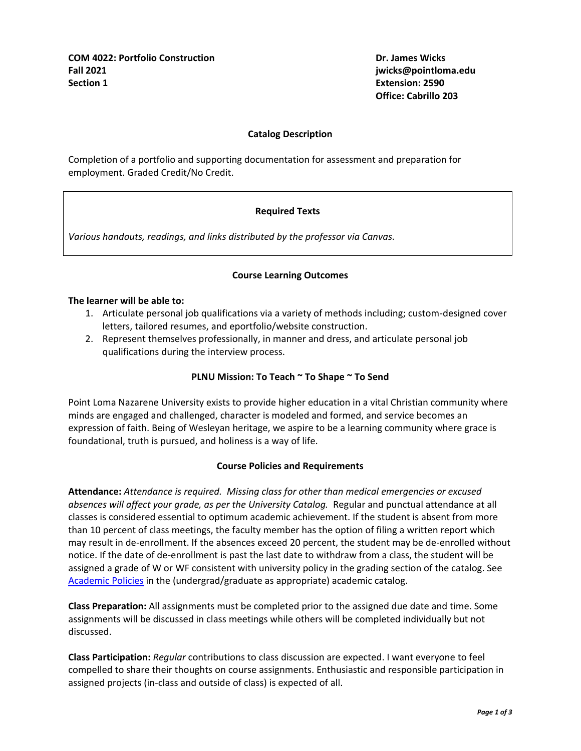**Office: Cabrillo 203**

# **Catalog Description**

Completion of a portfolio and supporting documentation for assessment and preparation for employment. Graded Credit/No Credit.

# **Required Texts**

*Various handouts, readings, and links distributed by the professor via Canvas.*

# **Course Learning Outcomes**

#### **The learner will be able to:**

- 1. Articulate personal job qualifications via a variety of methods including; custom-designed cover letters, tailored resumes, and eportfolio/website construction.
- 2. Represent themselves professionally, in manner and dress, and articulate personal job qualifications during the interview process.

## **PLNU Mission: To Teach ~ To Shape ~ To Send**

Point Loma Nazarene University exists to provide higher education in a vital Christian community where minds are engaged and challenged, character is modeled and formed, and service becomes an expression of faith. Being of Wesleyan heritage, we aspire to be a learning community where grace is foundational, truth is pursued, and holiness is a way of life.

## **Course Policies and Requirements**

**Attendance:** *Attendance is required. Missing class for other than medical emergencies or excused absences will affect your grade, as per the University Catalog.* Regular and punctual attendance at all classes is considered essential to optimum academic achievement. If the student is absent from more than 10 percent of class meetings, the faculty member has the option of filing a written report which may result in de-enrollment. If the absences exceed 20 percent, the student may be de-enrolled without notice. If the date of de-enrollment is past the last date to withdraw from a class, the student will be assigned a grade of W or WF consistent with university policy in the grading section of the catalog. See [Academic Policies](http://catalog.pointloma.edu/content.php?catoid=24&navoid=1581) in the (undergrad/graduate as appropriate) academic catalog.

**Class Preparation:** All assignments must be completed prior to the assigned due date and time. Some assignments will be discussed in class meetings while others will be completed individually but not discussed.

**Class Participation:** *Regular* contributions to class discussion are expected. I want everyone to feel compelled to share their thoughts on course assignments. Enthusiastic and responsible participation in assigned projects (in-class and outside of class) is expected of all.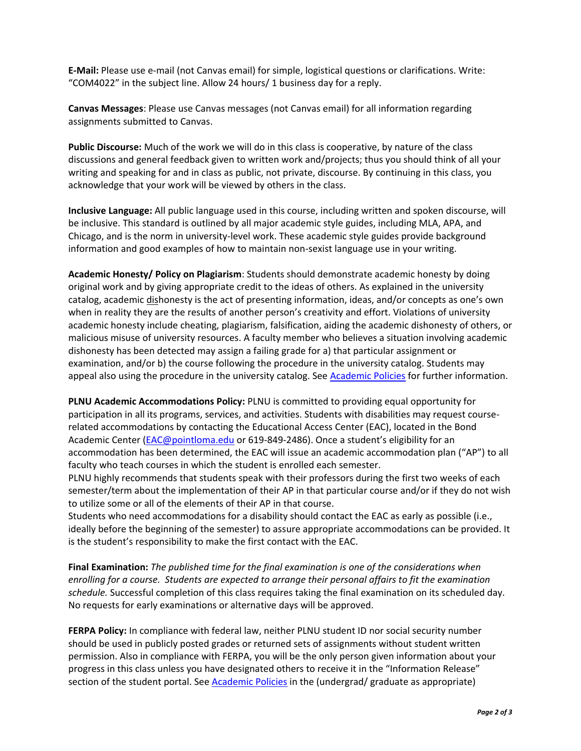**E-Mail:** Please use e-mail (not Canvas email) for simple, logistical questions or clarifications. Write: "COM4022" in the subject line. Allow 24 hours/ 1 business day for a reply.

**Canvas Messages**: Please use Canvas messages (not Canvas email) for all information regarding assignments submitted to Canvas.

**Public Discourse:** Much of the work we will do in this class is cooperative, by nature of the class discussions and general feedback given to written work and/projects; thus you should think of all your writing and speaking for and in class as public, not private, discourse. By continuing in this class, you acknowledge that your work will be viewed by others in the class.

**Inclusive Language:** All public language used in this course, including written and spoken discourse, will be inclusive. This standard is outlined by all major academic style guides, including MLA, APA, and Chicago, and is the norm in university-level work. These academic style guides provide background information and good examples of how to maintain non-sexist language use in your writing.

**Academic Honesty/ Policy on Plagiarism**: Students should demonstrate academic honesty by doing original work and by giving appropriate credit to the ideas of others. As explained in the university catalog, academic dishonesty is the act of presenting information, ideas, and/or concepts as one's own when in reality they are the results of another person's creativity and effort. Violations of university academic honesty include cheating, plagiarism, falsification, aiding the academic dishonesty of others, or malicious misuse of university resources. A faculty member who believes a situation involving academic dishonesty has been detected may assign a failing grade for a) that particular assignment or examination, and/or b) the course following the procedure in the university catalog. Students may appeal also using the procedure in the university catalog. See [Academic Policies](http://catalog.pointloma.edu/content.php?catoid=24&navoid=1581#Academic_Honesty) for further information.

**PLNU Academic Accommodations Policy:** PLNU is committed to providing equal opportunity for participation in all its programs, services, and activities. Students with disabilities may request courserelated accommodations by contacting the Educational Access Center (EAC), located in the Bond Academic Center [\(EAC@pointloma.edu](mailto:EAC@pointloma.edu) or 619-849-2486). Once a student's eligibility for an accommodation has been determined, the EAC will issue an academic accommodation plan ("AP") to all faculty who teach courses in which the student is enrolled each semester.

PLNU highly recommends that students speak with their professors during the first two weeks of each semester/term about the implementation of their AP in that particular course and/or if they do not wish to utilize some or all of the elements of their AP in that course.

Students who need accommodations for a disability should contact the EAC as early as possible (i.e., ideally before the beginning of the semester) to assure appropriate accommodations can be provided. It is the student's responsibility to make the first contact with the EAC.

**Final Examination:** *The published time for the final examination is one of the considerations when enrolling for a course. Students are expected to arrange their personal affairs to fit the examination schedule.* Successful completion of this class requires taking the final examination on its scheduled day. No requests for early examinations or alternative days will be approved.

**FERPA Policy:** In compliance with federal law, neither PLNU student ID nor social security number should be used in publicly posted grades or returned sets of assignments without student written permission. Also in compliance with FERPA, you will be the only person given information about your progress in this class unless you have designated others to receive it in the "Information Release" section of the student portal. See [Academic Policies](http://catalog.pointloma.edu/content.php?catoid=24&navoid=1581) in the (undergrad/ graduate as appropriate)